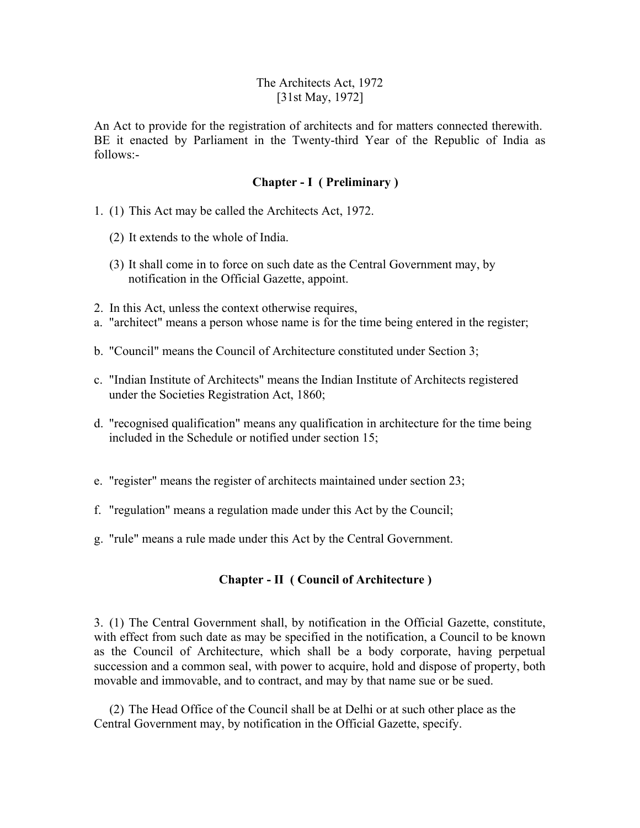### The Architects Act, 1972 [31st May, 1972]

An Act to provide for the registration of architects and for matters connected therewith. BE it enacted by Parliament in the Twenty-third Year of the Republic of India as follows:-

#### **Chapter - I ( Preliminary )**

- 1. (1) This Act may be called the Architects Act, 1972.
	- (2) It extends to the whole of India.
	- (3) It shall come in to force on such date as the Central Government may, by notification in the Official Gazette, appoint.
- 2. In this Act, unless the context otherwise requires,
- a. "architect" means a person whose name is for the time being entered in the register;
- b. "Council" means the Council of Architecture constituted under Section 3;
- c. "Indian Institute of Architects" means the Indian Institute of Architects registered under the Societies Registration Act, 1860;
- d. "recognised qualification" means any qualification in architecture for the time being included in the Schedule or notified under section 15;
- e. "register" means the register of architects maintained under section 23;
- f. "regulation" means a regulation made under this Act by the Council;
- g. "rule" means a rule made under this Act by the Central Government.

#### **Chapter - II ( Council of Architecture )**

3. (1) The Central Government shall, by notification in the Official Gazette, constitute, with effect from such date as may be specified in the notification, a Council to be known as the Council of Architecture, which shall be a body corporate, having perpetual succession and a common seal, with power to acquire, hold and dispose of property, both movable and immovable, and to contract, and may by that name sue or be sued.

 (2) The Head Office of the Council shall be at Delhi or at such other place as the Central Government may, by notification in the Official Gazette, specify.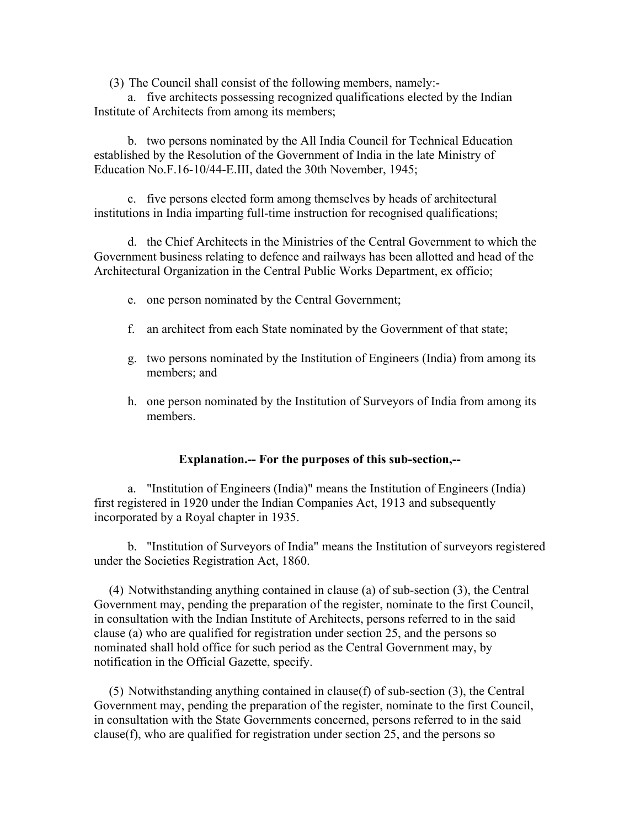(3) The Council shall consist of the following members, namely:-

 a. five architects possessing recognized qualifications elected by the Indian Institute of Architects from among its members;

 b. two persons nominated by the All India Council for Technical Education established by the Resolution of the Government of India in the late Ministry of Education No.F.16-10/44-E.III, dated the 30th November, 1945;

 c. five persons elected form among themselves by heads of architectural institutions in India imparting full-time instruction for recognised qualifications;

 d. the Chief Architects in the Ministries of the Central Government to which the Government business relating to defence and railways has been allotted and head of the Architectural Organization in the Central Public Works Department, ex officio;

- e. one person nominated by the Central Government;
- f. an architect from each State nominated by the Government of that state;
- g. two persons nominated by the Institution of Engineers (India) from among its members; and
- h. one person nominated by the Institution of Surveyors of India from among its members.

#### **Explanation.-- For the purposes of this sub-section,--**

 a. "Institution of Engineers (India)" means the Institution of Engineers (India) first registered in 1920 under the Indian Companies Act, 1913 and subsequently incorporated by a Royal chapter in 1935.

 b. "Institution of Surveyors of India" means the Institution of surveyors registered under the Societies Registration Act, 1860.

 (4) Notwithstanding anything contained in clause (a) of sub-section (3), the Central Government may, pending the preparation of the register, nominate to the first Council, in consultation with the Indian Institute of Architects, persons referred to in the said clause (a) who are qualified for registration under section 25, and the persons so nominated shall hold office for such period as the Central Government may, by notification in the Official Gazette, specify.

 (5) Notwithstanding anything contained in clause(f) of sub-section (3), the Central Government may, pending the preparation of the register, nominate to the first Council, in consultation with the State Governments concerned, persons referred to in the said clause(f), who are qualified for registration under section 25, and the persons so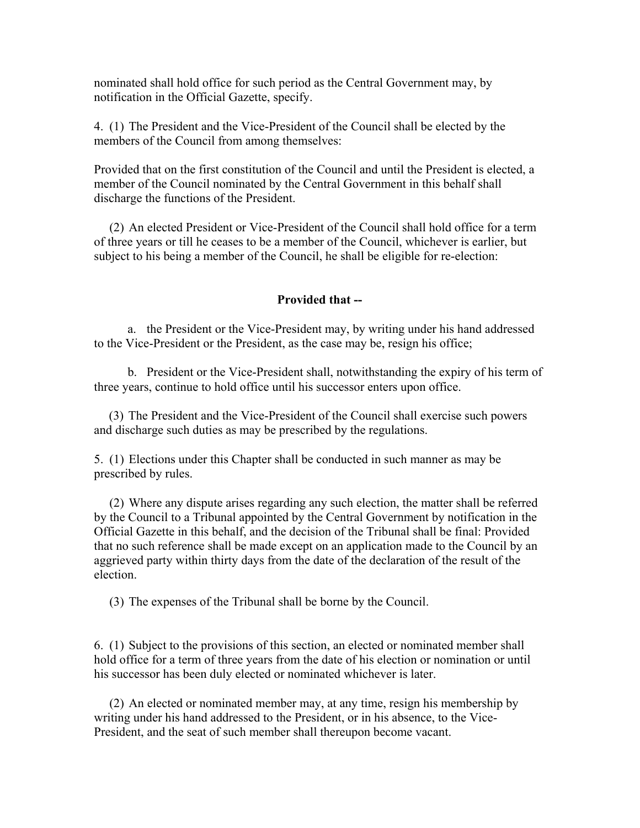nominated shall hold office for such period as the Central Government may, by notification in the Official Gazette, specify.

4. (1) The President and the Vice-President of the Council shall be elected by the members of the Council from among themselves:

Provided that on the first constitution of the Council and until the President is elected, a member of the Council nominated by the Central Government in this behalf shall discharge the functions of the President.

 (2) An elected President or Vice-President of the Council shall hold office for a term of three years or till he ceases to be a member of the Council, whichever is earlier, but subject to his being a member of the Council, he shall be eligible for re-election:

#### **Provided that --**

 a. the President or the Vice-President may, by writing under his hand addressed to the Vice-President or the President, as the case may be, resign his office;

 b. President or the Vice-President shall, notwithstanding the expiry of his term of three years, continue to hold office until his successor enters upon office.

 (3) The President and the Vice-President of the Council shall exercise such powers and discharge such duties as may be prescribed by the regulations.

5. (1) Elections under this Chapter shall be conducted in such manner as may be prescribed by rules.

 (2) Where any dispute arises regarding any such election, the matter shall be referred by the Council to a Tribunal appointed by the Central Government by notification in the Official Gazette in this behalf, and the decision of the Tribunal shall be final: Provided that no such reference shall be made except on an application made to the Council by an aggrieved party within thirty days from the date of the declaration of the result of the election.

(3) The expenses of the Tribunal shall be borne by the Council.

6. (1) Subject to the provisions of this section, an elected or nominated member shall hold office for a term of three years from the date of his election or nomination or until his successor has been duly elected or nominated whichever is later.

 (2) An elected or nominated member may, at any time, resign his membership by writing under his hand addressed to the President, or in his absence, to the Vice-President, and the seat of such member shall thereupon become vacant.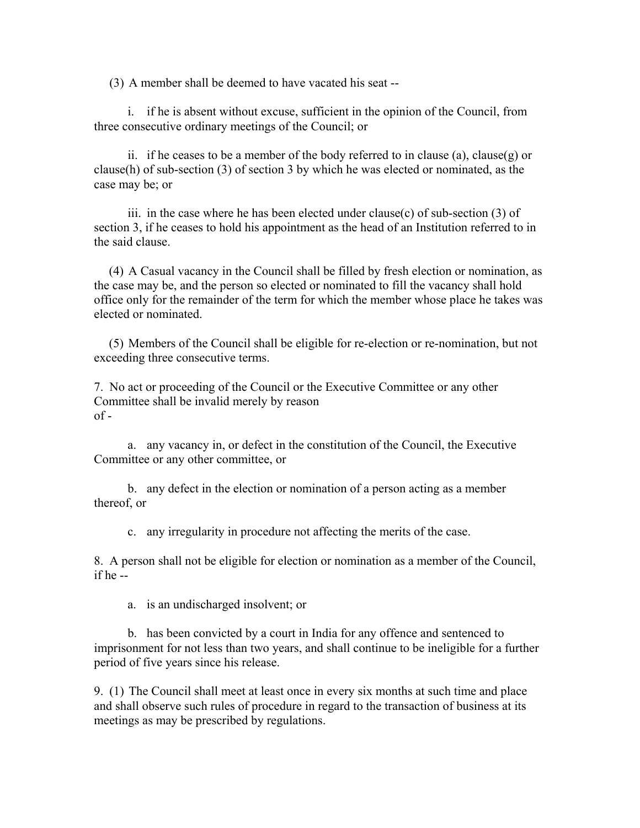(3) A member shall be deemed to have vacated his seat --

 i. if he is absent without excuse, sufficient in the opinion of the Council, from three consecutive ordinary meetings of the Council; or

 ii. if he ceases to be a member of the body referred to in clause (a), clause(g) or clause(h) of sub-section (3) of section 3 by which he was elected or nominated, as the case may be; or

iii. in the case where he has been elected under clause(c) of sub-section  $(3)$  of section 3, if he ceases to hold his appointment as the head of an Institution referred to in the said clause.

 (4) A Casual vacancy in the Council shall be filled by fresh election or nomination, as the case may be, and the person so elected or nominated to fill the vacancy shall hold office only for the remainder of the term for which the member whose place he takes was elected or nominated.

 (5) Members of the Council shall be eligible for re-election or re-nomination, but not exceeding three consecutive terms.

7. No act or proceeding of the Council or the Executive Committee or any other Committee shall be invalid merely by reason  $of -$ 

 a. any vacancy in, or defect in the constitution of the Council, the Executive Committee or any other committee, or

 b. any defect in the election or nomination of a person acting as a member thereof, or

c. any irregularity in procedure not affecting the merits of the case.

8. A person shall not be eligible for election or nomination as a member of the Council, if he --

a. is an undischarged insolvent; or

 b. has been convicted by a court in India for any offence and sentenced to imprisonment for not less than two years, and shall continue to be ineligible for a further period of five years since his release.

9. (1) The Council shall meet at least once in every six months at such time and place and shall observe such rules of procedure in regard to the transaction of business at its meetings as may be prescribed by regulations.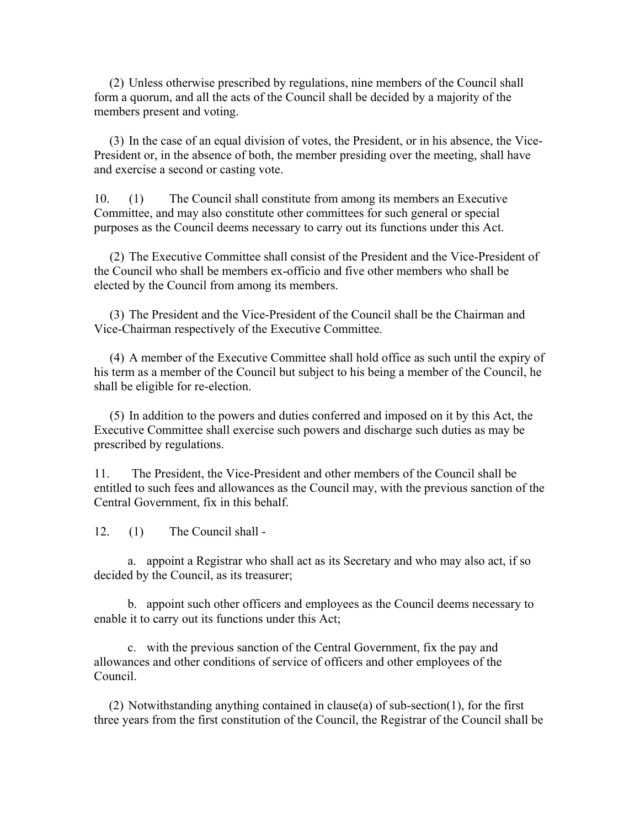(2) Unless otherwise prescribed by regulations, nine members of the Council shall form a quorum, and all the acts of the Council shall be decided by a majority of the members present and voting.

 (3) In the case of an equal division of votes, the President, or in his absence, the Vice-President or, in the absence of both, the member presiding over the meeting, shall have and exercise a second or casting vote.

10. (1) The Council shall constitute from among its members an Executive Committee, and may also constitute other committees for such general or special purposes as the Council deems necessary to carry out its functions under this Act.

 (2) The Executive Committee shall consist of the President and the Vice-President of the Council who shall be members ex-officio and five other members who shall be elected by the Council from among its members.

 (3) The President and the Vice-President of the Council shall be the Chairman and Vice-Chairman respectively of the Executive Committee.

 (4) A member of the Executive Committee shall hold office as such until the expiry of his term as a member of the Council but subject to his being a member of the Council, he shall be eligible for re-election.

 (5) In addition to the powers and duties conferred and imposed on it by this Act, the Executive Committee shall exercise such powers and discharge such duties as may be prescribed by regulations.

11. The President, the Vice-President and other members of the Council shall be entitled to such fees and allowances as the Council may, with the previous sanction of the Central Government, fix in this behalf.

12. (1) The Council shall -

 a. appoint a Registrar who shall act as its Secretary and who may also act, if so decided by the Council, as its treasurer;

 b. appoint such other officers and employees as the Council deems necessary to enable it to carry out its functions under this Act;

 c. with the previous sanction of the Central Government, fix the pay and allowances and other conditions of service of officers and other employees of the Council.

 (2) Notwithstanding anything contained in clause(a) of sub-section(1), for the first three years from the first constitution of the Council, the Registrar of the Council shall be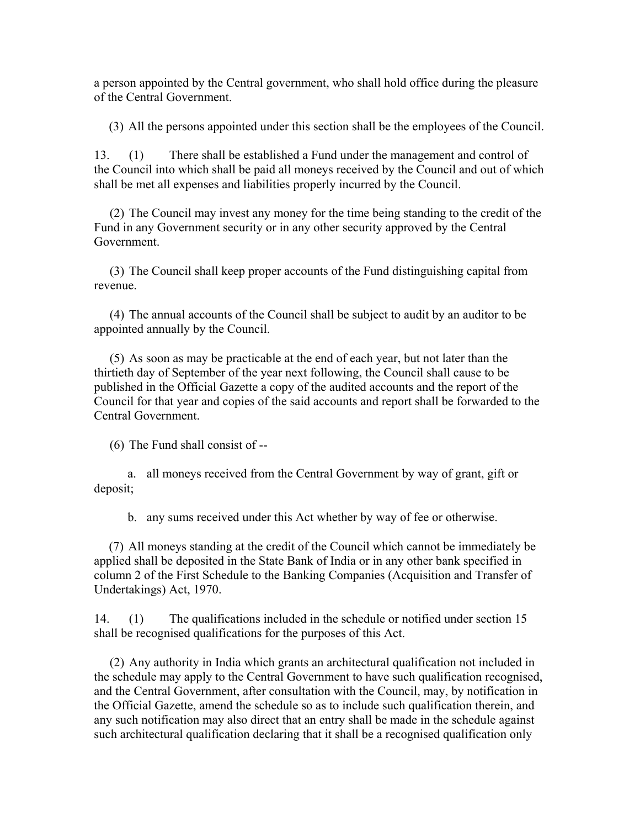a person appointed by the Central government, who shall hold office during the pleasure of the Central Government.

(3) All the persons appointed under this section shall be the employees of the Council.

13. (1) There shall be established a Fund under the management and control of the Council into which shall be paid all moneys received by the Council and out of which shall be met all expenses and liabilities properly incurred by the Council.

 (2) The Council may invest any money for the time being standing to the credit of the Fund in any Government security or in any other security approved by the Central Government.

 (3) The Council shall keep proper accounts of the Fund distinguishing capital from revenue.

 (4) The annual accounts of the Council shall be subject to audit by an auditor to be appointed annually by the Council.

 (5) As soon as may be practicable at the end of each year, but not later than the thirtieth day of September of the year next following, the Council shall cause to be published in the Official Gazette a copy of the audited accounts and the report of the Council for that year and copies of the said accounts and report shall be forwarded to the Central Government.

(6) The Fund shall consist of --

 a. all moneys received from the Central Government by way of grant, gift or deposit;

b. any sums received under this Act whether by way of fee or otherwise.

 (7) All moneys standing at the credit of the Council which cannot be immediately be applied shall be deposited in the State Bank of India or in any other bank specified in column 2 of the First Schedule to the Banking Companies (Acquisition and Transfer of Undertakings) Act, 1970.

14. (1) The qualifications included in the schedule or notified under section 15 shall be recognised qualifications for the purposes of this Act.

 (2) Any authority in India which grants an architectural qualification not included in the schedule may apply to the Central Government to have such qualification recognised, and the Central Government, after consultation with the Council, may, by notification in the Official Gazette, amend the schedule so as to include such qualification therein, and any such notification may also direct that an entry shall be made in the schedule against such architectural qualification declaring that it shall be a recognised qualification only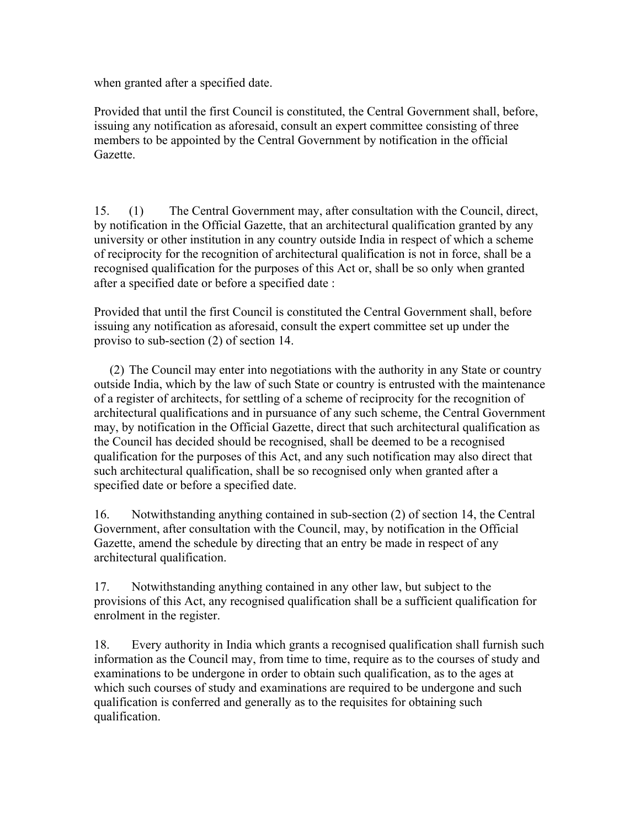when granted after a specified date.

Provided that until the first Council is constituted, the Central Government shall, before, issuing any notification as aforesaid, consult an expert committee consisting of three members to be appointed by the Central Government by notification in the official Gazette.

15. (1) The Central Government may, after consultation with the Council, direct, by notification in the Official Gazette, that an architectural qualification granted by any university or other institution in any country outside India in respect of which a scheme of reciprocity for the recognition of architectural qualification is not in force, shall be a recognised qualification for the purposes of this Act or, shall be so only when granted after a specified date or before a specified date :

Provided that until the first Council is constituted the Central Government shall, before issuing any notification as aforesaid, consult the expert committee set up under the proviso to sub-section (2) of section 14.

 (2) The Council may enter into negotiations with the authority in any State or country outside India, which by the law of such State or country is entrusted with the maintenance of a register of architects, for settling of a scheme of reciprocity for the recognition of architectural qualifications and in pursuance of any such scheme, the Central Government may, by notification in the Official Gazette, direct that such architectural qualification as the Council has decided should be recognised, shall be deemed to be a recognised qualification for the purposes of this Act, and any such notification may also direct that such architectural qualification, shall be so recognised only when granted after a specified date or before a specified date.

16. Notwithstanding anything contained in sub-section (2) of section 14, the Central Government, after consultation with the Council, may, by notification in the Official Gazette, amend the schedule by directing that an entry be made in respect of any architectural qualification.

17. Notwithstanding anything contained in any other law, but subject to the provisions of this Act, any recognised qualification shall be a sufficient qualification for enrolment in the register.

18. Every authority in India which grants a recognised qualification shall furnish such information as the Council may, from time to time, require as to the courses of study and examinations to be undergone in order to obtain such qualification, as to the ages at which such courses of study and examinations are required to be undergone and such qualification is conferred and generally as to the requisites for obtaining such qualification.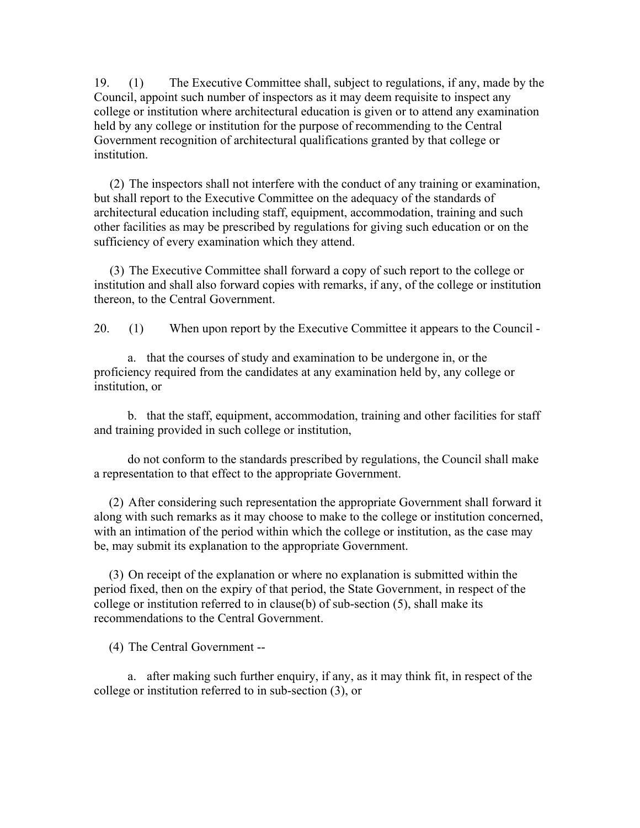19. (1) The Executive Committee shall, subject to regulations, if any, made by the Council, appoint such number of inspectors as it may deem requisite to inspect any college or institution where architectural education is given or to attend any examination held by any college or institution for the purpose of recommending to the Central Government recognition of architectural qualifications granted by that college or institution.

 (2) The inspectors shall not interfere with the conduct of any training or examination, but shall report to the Executive Committee on the adequacy of the standards of architectural education including staff, equipment, accommodation, training and such other facilities as may be prescribed by regulations for giving such education or on the sufficiency of every examination which they attend.

 (3) The Executive Committee shall forward a copy of such report to the college or institution and shall also forward copies with remarks, if any, of the college or institution thereon, to the Central Government.

20. (1) When upon report by the Executive Committee it appears to the Council -

 a. that the courses of study and examination to be undergone in, or the proficiency required from the candidates at any examination held by, any college or institution, or

 b. that the staff, equipment, accommodation, training and other facilities for staff and training provided in such college or institution,

 do not conform to the standards prescribed by regulations, the Council shall make a representation to that effect to the appropriate Government.

 (2) After considering such representation the appropriate Government shall forward it along with such remarks as it may choose to make to the college or institution concerned, with an intimation of the period within which the college or institution, as the case may be, may submit its explanation to the appropriate Government.

 (3) On receipt of the explanation or where no explanation is submitted within the period fixed, then on the expiry of that period, the State Government, in respect of the college or institution referred to in clause(b) of sub-section (5), shall make its recommendations to the Central Government.

(4) The Central Government --

 a. after making such further enquiry, if any, as it may think fit, in respect of the college or institution referred to in sub-section (3), or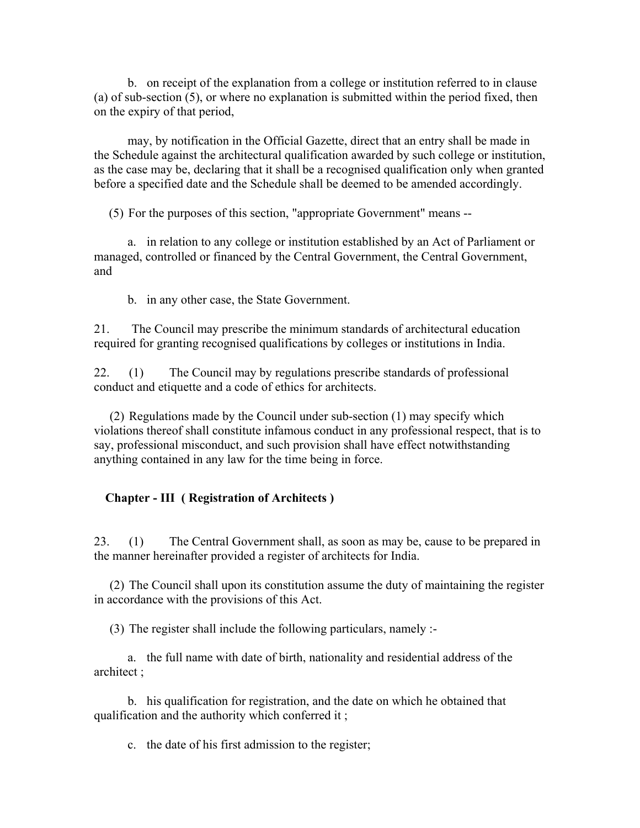b. on receipt of the explanation from a college or institution referred to in clause (a) of sub-section (5), or where no explanation is submitted within the period fixed, then on the expiry of that period,

 may, by notification in the Official Gazette, direct that an entry shall be made in the Schedule against the architectural qualification awarded by such college or institution, as the case may be, declaring that it shall be a recognised qualification only when granted before a specified date and the Schedule shall be deemed to be amended accordingly.

(5) For the purposes of this section, "appropriate Government" means --

 a. in relation to any college or institution established by an Act of Parliament or managed, controlled or financed by the Central Government, the Central Government, and

b. in any other case, the State Government.

21. The Council may prescribe the minimum standards of architectural education required for granting recognised qualifications by colleges or institutions in India.

22. (1) The Council may by regulations prescribe standards of professional conduct and etiquette and a code of ethics for architects.

 (2) Regulations made by the Council under sub-section (1) may specify which violations thereof shall constitute infamous conduct in any professional respect, that is to say, professional misconduct, and such provision shall have effect notwithstanding anything contained in any law for the time being in force.

## **Chapter - III ( Registration of Architects )**

23. (1) The Central Government shall, as soon as may be, cause to be prepared in the manner hereinafter provided a register of architects for India.

 (2) The Council shall upon its constitution assume the duty of maintaining the register in accordance with the provisions of this Act.

(3) The register shall include the following particulars, namely :-

 a. the full name with date of birth, nationality and residential address of the architect ;

 b. his qualification for registration, and the date on which he obtained that qualification and the authority which conferred it ;

c. the date of his first admission to the register;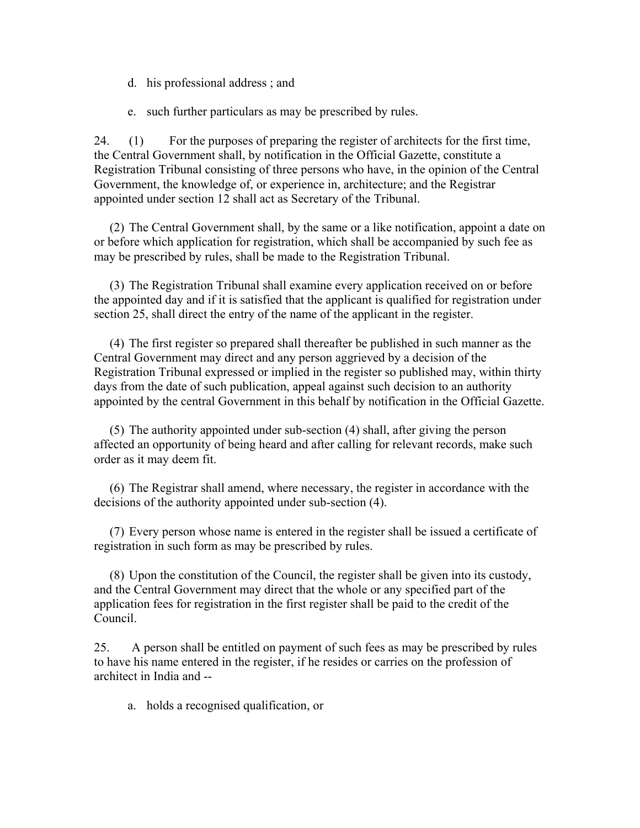- d. his professional address ; and
- e. such further particulars as may be prescribed by rules.

24. (1) For the purposes of preparing the register of architects for the first time, the Central Government shall, by notification in the Official Gazette, constitute a Registration Tribunal consisting of three persons who have, in the opinion of the Central Government, the knowledge of, or experience in, architecture; and the Registrar appointed under section 12 shall act as Secretary of the Tribunal.

 (2) The Central Government shall, by the same or a like notification, appoint a date on or before which application for registration, which shall be accompanied by such fee as may be prescribed by rules, shall be made to the Registration Tribunal.

 (3) The Registration Tribunal shall examine every application received on or before the appointed day and if it is satisfied that the applicant is qualified for registration under section 25, shall direct the entry of the name of the applicant in the register.

 (4) The first register so prepared shall thereafter be published in such manner as the Central Government may direct and any person aggrieved by a decision of the Registration Tribunal expressed or implied in the register so published may, within thirty days from the date of such publication, appeal against such decision to an authority appointed by the central Government in this behalf by notification in the Official Gazette.

 (5) The authority appointed under sub-section (4) shall, after giving the person affected an opportunity of being heard and after calling for relevant records, make such order as it may deem fit.

 (6) The Registrar shall amend, where necessary, the register in accordance with the decisions of the authority appointed under sub-section (4).

 (7) Every person whose name is entered in the register shall be issued a certificate of registration in such form as may be prescribed by rules.

 (8) Upon the constitution of the Council, the register shall be given into its custody, and the Central Government may direct that the whole or any specified part of the application fees for registration in the first register shall be paid to the credit of the Council.

25. A person shall be entitled on payment of such fees as may be prescribed by rules to have his name entered in the register, if he resides or carries on the profession of architect in India and --

a. holds a recognised qualification, or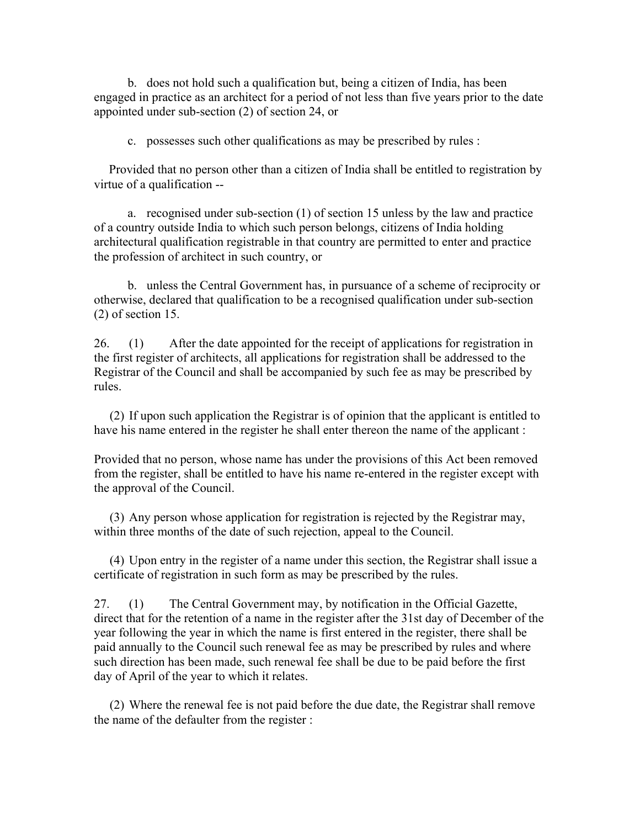b. does not hold such a qualification but, being a citizen of India, has been engaged in practice as an architect for a period of not less than five years prior to the date appointed under sub-section (2) of section 24, or

c. possesses such other qualifications as may be prescribed by rules :

 Provided that no person other than a citizen of India shall be entitled to registration by virtue of a qualification --

 a. recognised under sub-section (1) of section 15 unless by the law and practice of a country outside India to which such person belongs, citizens of India holding architectural qualification registrable in that country are permitted to enter and practice the profession of architect in such country, or

 b. unless the Central Government has, in pursuance of a scheme of reciprocity or otherwise, declared that qualification to be a recognised qualification under sub-section (2) of section 15.

26. (1) After the date appointed for the receipt of applications for registration in the first register of architects, all applications for registration shall be addressed to the Registrar of the Council and shall be accompanied by such fee as may be prescribed by rules.

 (2) If upon such application the Registrar is of opinion that the applicant is entitled to have his name entered in the register he shall enter thereon the name of the applicant :

Provided that no person, whose name has under the provisions of this Act been removed from the register, shall be entitled to have his name re-entered in the register except with the approval of the Council.

 (3) Any person whose application for registration is rejected by the Registrar may, within three months of the date of such rejection, appeal to the Council.

 (4) Upon entry in the register of a name under this section, the Registrar shall issue a certificate of registration in such form as may be prescribed by the rules.

27. (1) The Central Government may, by notification in the Official Gazette, direct that for the retention of a name in the register after the 31st day of December of the year following the year in which the name is first entered in the register, there shall be paid annually to the Council such renewal fee as may be prescribed by rules and where such direction has been made, such renewal fee shall be due to be paid before the first day of April of the year to which it relates.

 (2) Where the renewal fee is not paid before the due date, the Registrar shall remove the name of the defaulter from the register :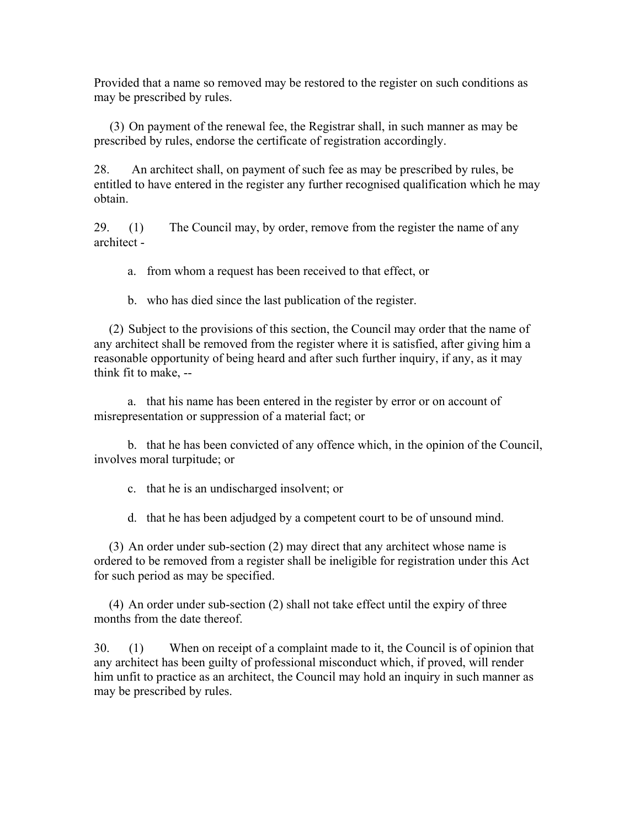Provided that a name so removed may be restored to the register on such conditions as may be prescribed by rules.

 (3) On payment of the renewal fee, the Registrar shall, in such manner as may be prescribed by rules, endorse the certificate of registration accordingly.

28. An architect shall, on payment of such fee as may be prescribed by rules, be entitled to have entered in the register any further recognised qualification which he may obtain.

29. (1) The Council may, by order, remove from the register the name of any architect -

a. from whom a request has been received to that effect, or

b. who has died since the last publication of the register.

 (2) Subject to the provisions of this section, the Council may order that the name of any architect shall be removed from the register where it is satisfied, after giving him a reasonable opportunity of being heard and after such further inquiry, if any, as it may think fit to make, --

 a. that his name has been entered in the register by error or on account of misrepresentation or suppression of a material fact; or

 b. that he has been convicted of any offence which, in the opinion of the Council, involves moral turpitude; or

c. that he is an undischarged insolvent; or

d. that he has been adjudged by a competent court to be of unsound mind.

 (3) An order under sub-section (2) may direct that any architect whose name is ordered to be removed from a register shall be ineligible for registration under this Act for such period as may be specified.

 (4) An order under sub-section (2) shall not take effect until the expiry of three months from the date thereof.

30. (1) When on receipt of a complaint made to it, the Council is of opinion that any architect has been guilty of professional misconduct which, if proved, will render him unfit to practice as an architect, the Council may hold an inquiry in such manner as may be prescribed by rules.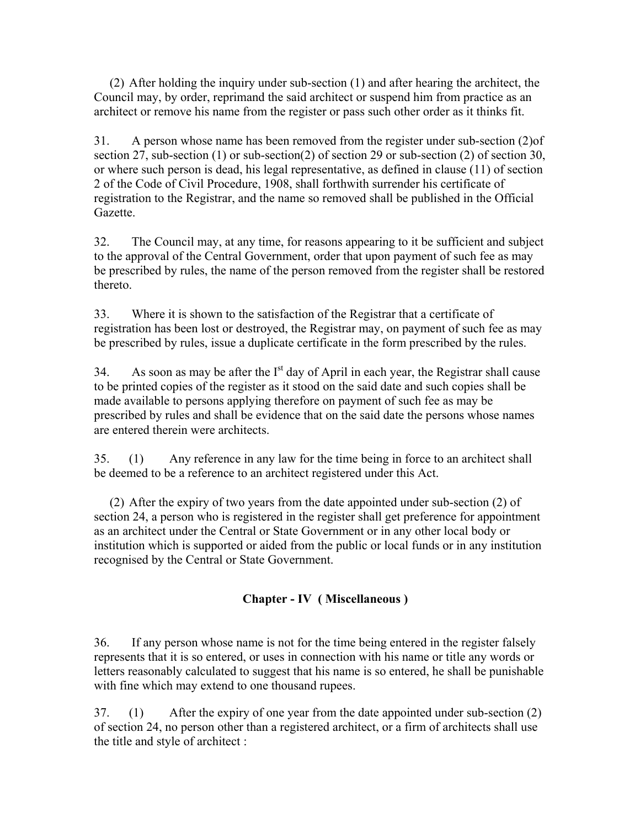(2) After holding the inquiry under sub-section (1) and after hearing the architect, the Council may, by order, reprimand the said architect or suspend him from practice as an architect or remove his name from the register or pass such other order as it thinks fit.

31. A person whose name has been removed from the register under sub-section (2)of section 27, sub-section (1) or sub-section (2) of section 29 or sub-section (2) of section 30, or where such person is dead, his legal representative, as defined in clause (11) of section 2 of the Code of Civil Procedure, 1908, shall forthwith surrender his certificate of registration to the Registrar, and the name so removed shall be published in the Official Gazette.

32. The Council may, at any time, for reasons appearing to it be sufficient and subject to the approval of the Central Government, order that upon payment of such fee as may be prescribed by rules, the name of the person removed from the register shall be restored thereto.

33. Where it is shown to the satisfaction of the Registrar that a certificate of registration has been lost or destroyed, the Registrar may, on payment of such fee as may be prescribed by rules, issue a duplicate certificate in the form prescribed by the rules.

34. As soon as may be after the  $I<sup>st</sup>$  day of April in each year, the Registrar shall cause to be printed copies of the register as it stood on the said date and such copies shall be made available to persons applying therefore on payment of such fee as may be prescribed by rules and shall be evidence that on the said date the persons whose names are entered therein were architects.

35. (1) Any reference in any law for the time being in force to an architect shall be deemed to be a reference to an architect registered under this Act.

 (2) After the expiry of two years from the date appointed under sub-section (2) of section 24, a person who is registered in the register shall get preference for appointment as an architect under the Central or State Government or in any other local body or institution which is supported or aided from the public or local funds or in any institution recognised by the Central or State Government.

# **Chapter - IV ( Miscellaneous )**

36. If any person whose name is not for the time being entered in the register falsely represents that it is so entered, or uses in connection with his name or title any words or letters reasonably calculated to suggest that his name is so entered, he shall be punishable with fine which may extend to one thousand rupees.

37. (1) After the expiry of one year from the date appointed under sub-section (2) of section 24, no person other than a registered architect, or a firm of architects shall use the title and style of architect :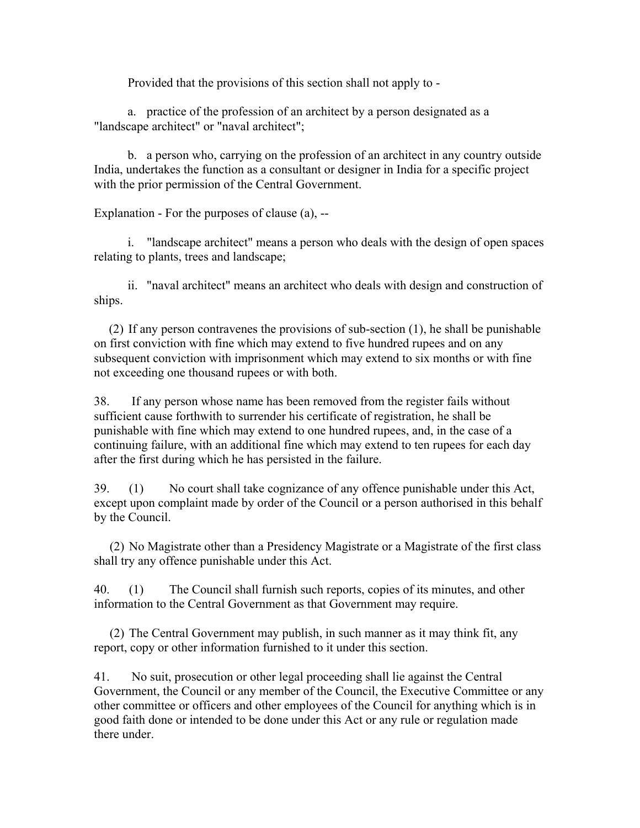Provided that the provisions of this section shall not apply to -

 a. practice of the profession of an architect by a person designated as a "landscape architect" or "naval architect";

 b. a person who, carrying on the profession of an architect in any country outside India, undertakes the function as a consultant or designer in India for a specific project with the prior permission of the Central Government.

Explanation - For the purposes of clause (a), --

 i. "landscape architect" means a person who deals with the design of open spaces relating to plants, trees and landscape;

 ii. "naval architect" means an architect who deals with design and construction of ships.

 (2) If any person contravenes the provisions of sub-section (1), he shall be punishable on first conviction with fine which may extend to five hundred rupees and on any subsequent conviction with imprisonment which may extend to six months or with fine not exceeding one thousand rupees or with both.

38. If any person whose name has been removed from the register fails without sufficient cause forthwith to surrender his certificate of registration, he shall be punishable with fine which may extend to one hundred rupees, and, in the case of a continuing failure, with an additional fine which may extend to ten rupees for each day after the first during which he has persisted in the failure.

39. (1) No court shall take cognizance of any offence punishable under this Act, except upon complaint made by order of the Council or a person authorised in this behalf by the Council.

 (2) No Magistrate other than a Presidency Magistrate or a Magistrate of the first class shall try any offence punishable under this Act.

40. (1) The Council shall furnish such reports, copies of its minutes, and other information to the Central Government as that Government may require.

 (2) The Central Government may publish, in such manner as it may think fit, any report, copy or other information furnished to it under this section.

41. No suit, prosecution or other legal proceeding shall lie against the Central Government, the Council or any member of the Council, the Executive Committee or any other committee or officers and other employees of the Council for anything which is in good faith done or intended to be done under this Act or any rule or regulation made there under.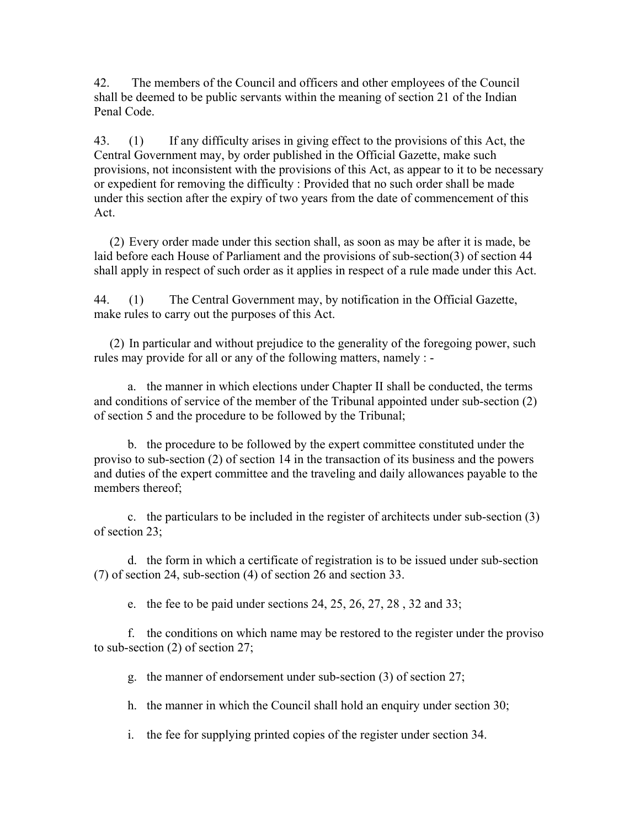42. The members of the Council and officers and other employees of the Council shall be deemed to be public servants within the meaning of section 21 of the Indian Penal Code.

43. (1) If any difficulty arises in giving effect to the provisions of this Act, the Central Government may, by order published in the Official Gazette, make such provisions, not inconsistent with the provisions of this Act, as appear to it to be necessary or expedient for removing the difficulty : Provided that no such order shall be made under this section after the expiry of two years from the date of commencement of this Act.

 (2) Every order made under this section shall, as soon as may be after it is made, be laid before each House of Parliament and the provisions of sub-section(3) of section 44 shall apply in respect of such order as it applies in respect of a rule made under this Act.

44. (1) The Central Government may, by notification in the Official Gazette, make rules to carry out the purposes of this Act.

 (2) In particular and without prejudice to the generality of the foregoing power, such rules may provide for all or any of the following matters, namely : -

 a. the manner in which elections under Chapter II shall be conducted, the terms and conditions of service of the member of the Tribunal appointed under sub-section (2) of section 5 and the procedure to be followed by the Tribunal;

 b. the procedure to be followed by the expert committee constituted under the proviso to sub-section (2) of section 14 in the transaction of its business and the powers and duties of the expert committee and the traveling and daily allowances payable to the members thereof;

 c. the particulars to be included in the register of architects under sub-section (3) of section 23;

 d. the form in which a certificate of registration is to be issued under sub-section (7) of section 24, sub-section (4) of section 26 and section 33.

e. the fee to be paid under sections 24, 25, 26, 27, 28 , 32 and 33;

 f. the conditions on which name may be restored to the register under the proviso to sub-section (2) of section 27;

g. the manner of endorsement under sub-section (3) of section 27;

h. the manner in which the Council shall hold an enquiry under section 30;

i. the fee for supplying printed copies of the register under section 34.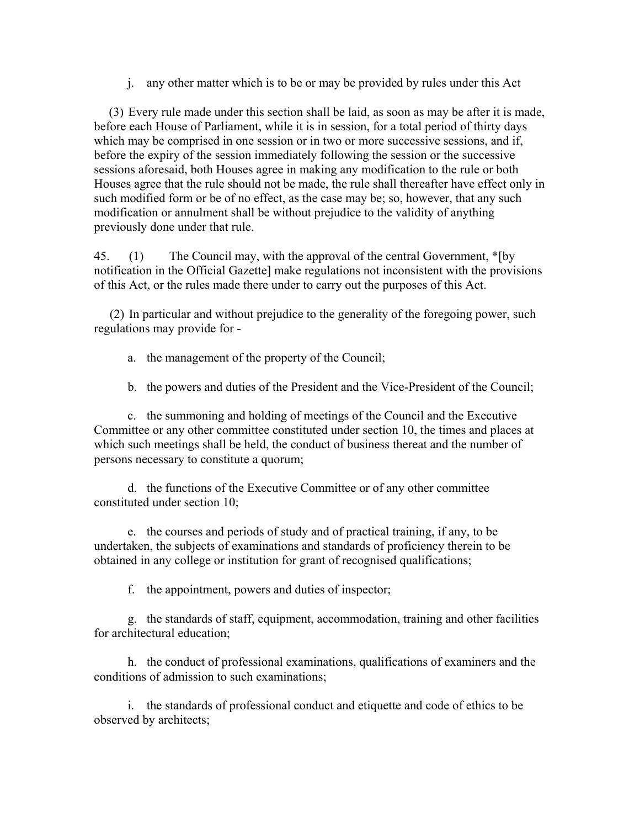j. any other matter which is to be or may be provided by rules under this Act

 (3) Every rule made under this section shall be laid, as soon as may be after it is made, before each House of Parliament, while it is in session, for a total period of thirty days which may be comprised in one session or in two or more successive sessions, and if, before the expiry of the session immediately following the session or the successive sessions aforesaid, both Houses agree in making any modification to the rule or both Houses agree that the rule should not be made, the rule shall thereafter have effect only in such modified form or be of no effect, as the case may be; so, however, that any such modification or annulment shall be without prejudice to the validity of anything previously done under that rule.

45. (1) The Council may, with the approval of the central Government, \*[by notification in the Official Gazette] make regulations not inconsistent with the provisions of this Act, or the rules made there under to carry out the purposes of this Act.

 (2) In particular and without prejudice to the generality of the foregoing power, such regulations may provide for -

- a. the management of the property of the Council;
- b. the powers and duties of the President and the Vice-President of the Council;

 c. the summoning and holding of meetings of the Council and the Executive Committee or any other committee constituted under section 10, the times and places at which such meetings shall be held, the conduct of business thereat and the number of persons necessary to constitute a quorum;

 d. the functions of the Executive Committee or of any other committee constituted under section 10;

 e. the courses and periods of study and of practical training, if any, to be undertaken, the subjects of examinations and standards of proficiency therein to be obtained in any college or institution for grant of recognised qualifications;

f. the appointment, powers and duties of inspector;

 g. the standards of staff, equipment, accommodation, training and other facilities for architectural education;

 h. the conduct of professional examinations, qualifications of examiners and the conditions of admission to such examinations;

 i. the standards of professional conduct and etiquette and code of ethics to be observed by architects;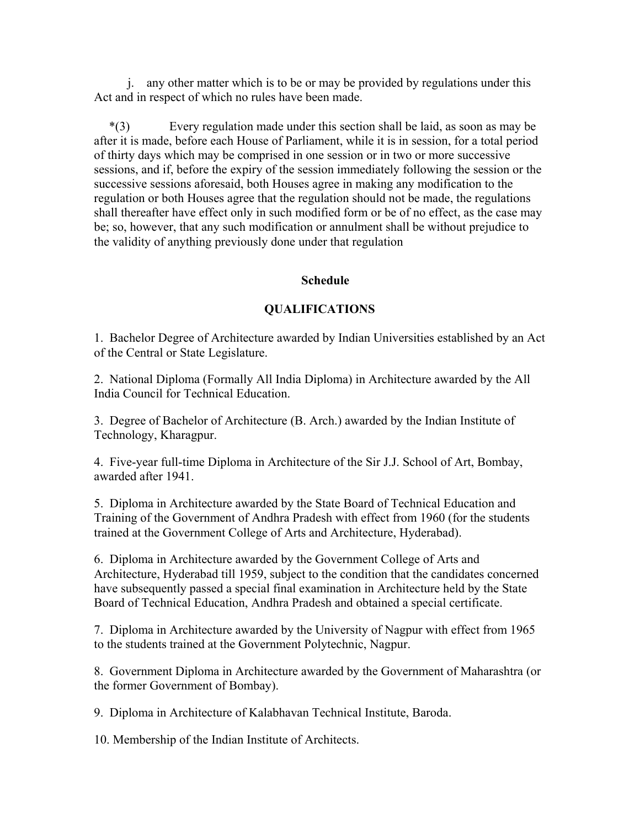j. any other matter which is to be or may be provided by regulations under this Act and in respect of which no rules have been made.

 \*(3) Every regulation made under this section shall be laid, as soon as may be after it is made, before each House of Parliament, while it is in session, for a total period of thirty days which may be comprised in one session or in two or more successive sessions, and if, before the expiry of the session immediately following the session or the successive sessions aforesaid, both Houses agree in making any modification to the regulation or both Houses agree that the regulation should not be made, the regulations shall thereafter have effect only in such modified form or be of no effect, as the case may be; so, however, that any such modification or annulment shall be without prejudice to the validity of anything previously done under that regulation

#### **Schedule**

## **QUALIFICATIONS**

1. Bachelor Degree of Architecture awarded by Indian Universities established by an Act of the Central or State Legislature.

2. National Diploma (Formally All India Diploma) in Architecture awarded by the All India Council for Technical Education.

3. Degree of Bachelor of Architecture (B. Arch.) awarded by the Indian Institute of Technology, Kharagpur.

4. Five-year full-time Diploma in Architecture of the Sir J.J. School of Art, Bombay, awarded after 1941.

5. Diploma in Architecture awarded by the State Board of Technical Education and Training of the Government of Andhra Pradesh with effect from 1960 (for the students trained at the Government College of Arts and Architecture, Hyderabad).

6. Diploma in Architecture awarded by the Government College of Arts and Architecture, Hyderabad till 1959, subject to the condition that the candidates concerned have subsequently passed a special final examination in Architecture held by the State Board of Technical Education, Andhra Pradesh and obtained a special certificate.

7. Diploma in Architecture awarded by the University of Nagpur with effect from 1965 to the students trained at the Government Polytechnic, Nagpur.

8. Government Diploma in Architecture awarded by the Government of Maharashtra (or the former Government of Bombay).

9. Diploma in Architecture of Kalabhavan Technical Institute, Baroda.

10. Membership of the Indian Institute of Architects.